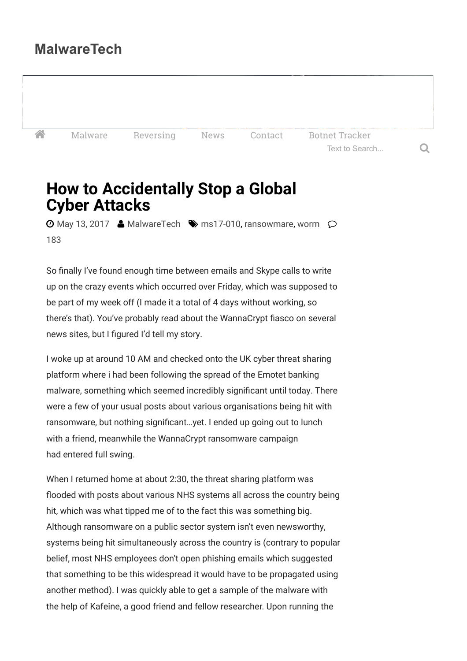## **MalwareTech**

K<sup>a</sup> [Malware](https://www.malwaretech.com/?tag=malware) [Reversing](https://www.malwaretech.com/?tag=reversing) [News](https://www.malwaretech.com/?tag=news) [Contact](https://www.malwaretech.com/contact) [Botnet Tracker](https://intel.malwaretech.com/)

Text to Search... Q

# **How to Accidentally Stop a Global Cyber Attacks**

 $\odot$  [May 13, 2017](https://www.malwaretech.com/2017/05)  $\triangleq$  [MalwareTech](https://www.malwaretech.com/author/malwaretech)  $\heartsuit$  [ms17-010,](https://www.malwaretech.com/?tag=ms17-010) [ransowmare,](https://www.malwaretech.com/?tag=ransowmare) [worm](https://www.malwaretech.com/?tag=worm)  $\oslash$ [183](https://www.malwaretech.com/2017/05/how-to-accidentally-stop-a-global-cyber-attacks.html)

So finally I've found enough time between emails and Skype calls to write up on the crazy events which occurred over Friday, which was supposed to be part of my week off (I made it a total of 4 days without working, so there's that). You've probably read about the WannaCrypt fiasco on several news sites, but I figured I'd tell my story.

I woke up at around 10 AM and checked onto the UK cyber threat sharing platform where i had been following the spread of the Emotet banking malware, something which seemed incredibly significant until today. There were a few of your usual posts about various organisations being hit with ransomware, but nothing significant…yet. I ended up going out to lunch with a friend, meanwhile the WannaCrypt ransomware campaign had entered full swing.

When I returned home at about 2:30, the threat sharing platform was flooded with posts about various NHS systems all across the country being hit, which was what tipped me of to the fact this was something big. Although ransomware on a public sector system isn't even newsworthy, systems being hit simultaneously across the country is (contrary to popular belief, most NHS employees don't open phishing emails which suggested that something to be this widespread it would have to be propagated using another method). I was quickly able to get a sample of the malware with the help of Kafeine, a good friend and fellow researcher. Upon running the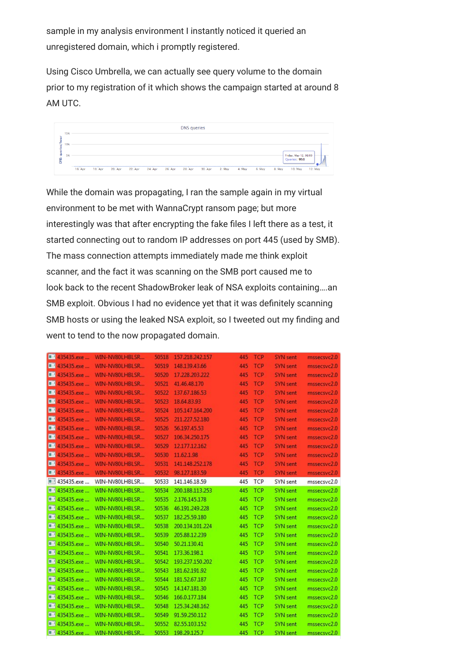sample in my analysis environment I instantly noticed it queried an unregistered domain, which i promptly registered.

Using Cisco Umbrella, we can actually see query volume to the domain prior to my registration of it which shows the campaign started at around 8 AM UTC.



While the domain was propagating, I ran the sample again in my virtual environment to be met with WannaCrypt ransom page; but more interestingly was that after encrypting the fake files I left there as a test, it started connecting out to random IP addresses on port 445 (used by SMB). The mass connection attempts immediately made me think exploit scanner, and the fact it was scanning on the SMB port caused me to look back to the recent ShadowBroker leak of NSA exploits containing….an SMB exploit. Obvious I had no evidence yet that it was definitely scanning SMB hosts or using the leaked NSA exploit, so I tweeted out my finding and went to tend to the now propagated domain.

| <b>EXAMPLE 435435.exe</b> | WIN-NV80LHBLSR                           | 50518 | 157.218.242.157 | 445 | <b>TCP</b> | SYN sent        | mssecsvc2.0 |
|---------------------------|------------------------------------------|-------|-----------------|-----|------------|-----------------|-------------|
| <b>EP</b> 435435.exe      | WIN-NV80LHBLSR                           | 50519 | 148.139.43.66   | 445 | <b>TCP</b> | <b>SYN</b> sent | mssecsvc2.0 |
| <b>E</b> 435435.exe       | WIN-NV80LHBLSR                           | 50520 | 17.228.203.222  | 445 | <b>TCP</b> | <b>SYN</b> sent | mssecsvc2.0 |
| <b>ED</b> 435435.exe      | WIN-NV80LHBLSR                           | 50521 | 41.46.48.170    | 445 | <b>TCP</b> | <b>SYN</b> sent | mssecsvc2.0 |
| <b>EP</b> 435435.exe      | WIN-NV80LHBLSR                           | 50522 | 137.67.186.53   | 445 | <b>TCP</b> | <b>SYN</b> sent | mssecsvc2.0 |
| œ<br>435435, exe          | WIN-NV80LHBLSR                           | 50523 | 18.64.83.93     | 445 | <b>TCP</b> | SYN sent        | mssecsvc2.0 |
| ■ 435435.ехе              | WIN-NV80LHBLSR                           | 50524 | 105.147.164.200 | 445 | <b>TCP</b> | SYN sent        | mssecsvc2.0 |
| 1 435435.exe              | WIN-NV80LHBLSR                           | 50525 | 211.227.52.180  | 445 | <b>TCP</b> | <b>SYN</b> sent | mssecsvc2.0 |
| œ<br>435435.exe           | WIN-NV80LHBLSR                           | 50526 | 56.197.45.53    | 445 | <b>TCP</b> | <b>SYN</b> sent | mssecsvc2.0 |
| 435435.exe                | WIN-NV80LHBLSR                           | 50527 | 106.34.250.175  | 445 | <b>TCP</b> | <b>SYN</b> sent | mssecsvc2.0 |
| <sup>1435435</sup> exe    | WIN-NV80LHBLSR                           | 50529 | 12.177.12.162   | 445 | <b>TCP</b> | SYN sent        | mssecsvc2.0 |
| œ<br>435435.exe           | WIN-NV80LHBLSR                           | 50530 | 11.62.1.98      | 445 | <b>TCP</b> | <b>SYN</b> sent | mssecsvc2.0 |
| œ<br>435435.exe           | WIN-NV80LHBLSR                           | 50531 | 141.148.252.178 | 445 | <b>TCP</b> | <b>SYN</b> sent | mssecsvc2.0 |
| <b>EP</b> 435435.exe      | WIN-NV80LHBLSR                           | 50532 | 98.127.183.59   | 445 | <b>TCP</b> | <b>SYN</b> sent | mssecsvc2.0 |
| $\Box$<br>435435.exe      | WIN-NV80LHBLSR                           | 50533 | 141.146.18.59   | 445 | <b>TCP</b> | SYN sent        | mssecsvc2.0 |
|                           | <b>E 435435.exe  WIN-NV80LHBLSR</b>      | 50534 | 200.188.113.253 | 445 | <b>TCP</b> | SYN sent        | mssecsvc2.0 |
|                           | <b>EE</b> 435435.exe  WIN-NV80LHBLSR     | 50535 | 2.176.145.178   | 445 | <b>TCP</b> | SYN sent        | mssecsvc2.0 |
|                           | ■■ 435435.exe  WIN-NV80LHBLSR            | 50536 | 46.191.249.228  | 445 | <b>TCP</b> | SYN sent        | mssecsvc2.0 |
| ■■ 435435.exe             | WIN-NV80LHBLSR                           | 50537 | 182.25.59.180   | 445 | TCP        | SYN sent        | mssecsvc2.0 |
| ■■ 435435.exe             | WIN-NV80LHBLSR                           | 50538 | 200.134.101.224 | 445 | <b>TCP</b> | SYN sent        | mssecsvc2.0 |
|                           | <b>IIE' 435435.exe  WIN-NV80LHBLSR</b>   | 50539 | 205.88.12.239   | 445 | <b>TCP</b> | SYN sent        | mssecsvc2.0 |
|                           | <b>ILE!</b> 435435.exe  WIN-NV80LHBLSR   | 50540 | 50.21.130.41    | 445 | <b>TCP</b> | SYN sent        | mssecsvc2.0 |
|                           | <b>ILE!</b> 435435.exe  WIN-NV80LHBLSR   | 50541 | 173.36.198.1    | 445 | <b>TCP</b> | SYN sent        | mssecsvc2.0 |
|                           | ■■ 435435.exe  WIN-NV80LHBLSR            | 50542 | 193.237.150.202 | 445 | <b>TCP</b> | SYN sent        | mssecsvc2.0 |
|                           | <b>EE' 435435.exe  WIN-NV80LHBLSR</b>    | 50543 | 181.62.191.92   | 445 | <b>TCP</b> | SYN sent        | mssecsvc2.0 |
| ■■ 435435.exe             | WIN-NV80LHBLSR                           | 50544 | 181.52.67.187   | 445 | <b>TCP</b> | SYN sent        | mssecsvc2.0 |
|                           | <sup>■■</sup> 435435.exe  WIN-NV80LHBLSR | 50545 | 14.147.181.30   | 445 | <b>TCP</b> | SYN sent        | mssecsvc2.0 |
|                           | <b>EE</b> 435435.exe  WIN-NV80LHBLSR     | 50546 | 166.0.177.184   | 445 | <b>TCP</b> | SYN sent        | mssecsvc2.0 |
|                           | <b>III</b> 435435.exe  WIN-NV80LHBLSR    | 50548 | 125.34.248.162  | 445 | <b>TCP</b> | SYN sent        | mssecsvc2.0 |
|                           | <b>ILE!</b> 435435.exe  WIN-NV80LHBLSR   | 50549 | 91.59.250.112   | 445 | <b>TCP</b> | SYN sent        | mssecsvc2.0 |
|                           | <b>ILE!</b> 435435.exe  WIN-NV80LHBLSR   | 50552 | 82.55.103.152   |     | 445 TCP    | SYN sent        | mssecsvc2.0 |
|                           | <b>435435.exe  WIN-NV80LHBLSR</b>        | 50553 | 198.29.125.7    |     | 445 TCP    | SYN sent        | mssecsvc2.0 |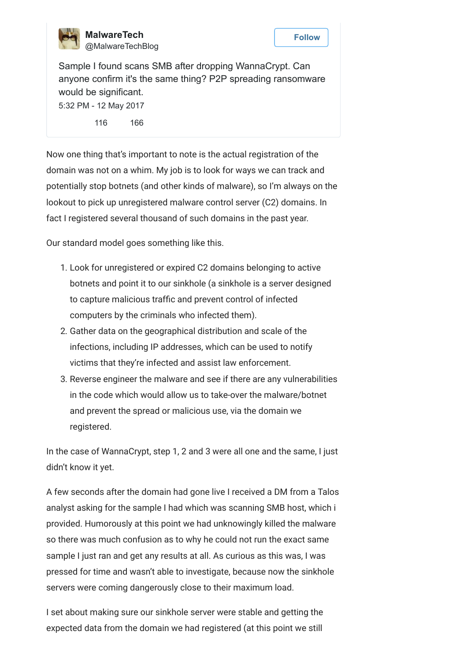

**MalwareTech** [@MalwareTechBlog](https://twitter.com/MalwareTechBlog)



Sample I found scans SMB after dropping WannaCrypt. Can anyone confirm it's the same thing? P2P spreading ransomware would be significant. [5:32 PM - 12 May 2017](https://twitter.com/MalwareTechBlog/status/863054290360946688)

[116](https://twitter.com/intent/retweet?tweet_id=863054290360946688) [166](https://twitter.com/intent/like?tweet_id=863054290360946688)

Now one thing that's important to note is the actual registration of the domain was not on a whim. My job is to look for ways we can track and potentially stop botnets (and other kinds of malware), so I'm always on the lookout to pick up unregistered malware control server (C2) domains. In fact I registered several thousand of such domains in the past year.

Our standard model goes something like this.

- 1. Look for unregistered or expired C2 domains belonging to active botnets and point it to our sinkhole (a sinkhole is a server designed to capture malicious traffic and prevent control of infected computers by the criminals who infected them).
- 2. Gather data on the geographical distribution and scale of the infections, including IP addresses, which can be used to notify victims that they're infected and assist law enforcement.
- 3. Reverse engineer the malware and see if there are any vulnerabilities in the code which would allow us to take-over the malware/botnet and prevent the spread or malicious use, via the domain we registered.

In the case of WannaCrypt, step 1, 2 and 3 were all one and the same, I just didn't know it yet.

A few seconds after the domain had gone live I received a DM from a Talos analyst asking for the sample I had which was scanning SMB host, which i provided. Humorously at this point we had unknowingly killed the malware so there was much confusion as to why he could not run the exact same sample I just ran and get any results at all. As curious as this was, I was pressed for time and wasn't able to investigate, because now the sinkhole servers were coming dangerously close to their maximum load.

I set about making sure our sinkhole server were stable and getting the expected data from the domain we had registered (at this point we still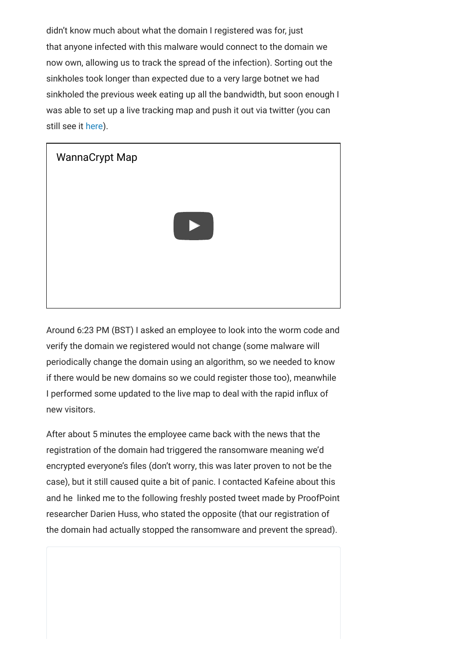didn't know much about what the domain I registered was for, just that anyone infected with this malware would connect to the domain we now own, allowing us to track the spread of the infection). Sorting out the sinkholes took longer than expected due to a very large botnet we had sinkholed the previous week eating up all the bandwidth, but soon enough I was able to set up a live tracking map and push it out via twitter (you can still see it [here](https://intel.malwaretech.com/WannaCrypt.html)).



Around 6:23 PM (BST) I asked an employee to look into the worm code and verify the domain we registered would not change (some malware will periodically change the domain using an algorithm, so we needed to know if there would be new domains so we could register those too), meanwhile I performed some updated to the live map to deal with the rapid influx of new visitors.

After about 5 minutes the employee came back with the news that the registration of the domain had triggered the ransomware meaning we'd encrypted everyone's files (don't worry, this was later proven to not be the case), but it still caused quite a bit of panic. I contacted Kafeine about this and he linked me to the following freshly posted tweet made by ProofPoint researcher Darien Huss, who stated the opposite (that our registration of the domain had actually stopped the ransomware and prevent the spread).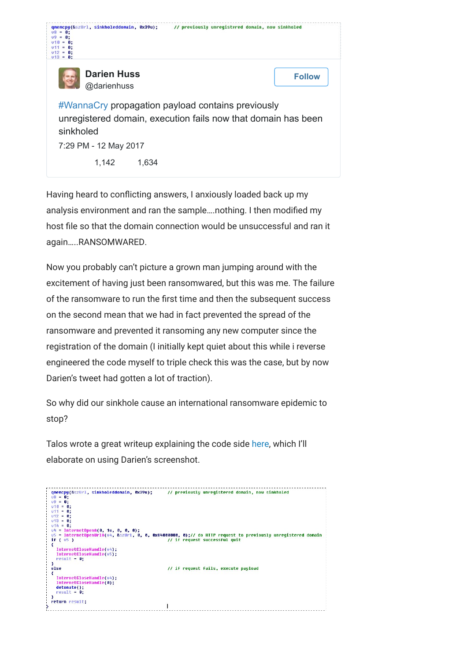| gnemcpu(&szUrl, sinkholeddomain, 0x39u);<br>$\mathbf{u}$ 8<br>6:<br>$\mathbf{u}$<br>B:<br>- 61 :<br>8:<br>6:<br>$v13 = 0:$                               | // previously unregistered domain, now sinkholed |
|----------------------------------------------------------------------------------------------------------------------------------------------------------|--------------------------------------------------|
| <b>Darien Huss</b><br>@darienhuss                                                                                                                        | <b>Follow</b>                                    |
| #WannaCry propagation payload contains previously<br>unregistered domain, execution fails now that domain has been<br>sinkholed<br>7:29 PM - 12 May 2017 |                                                  |
| 1,142<br>1,634                                                                                                                                           |                                                  |

Having heard to conflicting answers, I anxiously loaded back up my analysis environment and ran the sample….nothing. I then modified my host file so that the domain connection would be unsuccessful and ran it again…..RANSOMWARED.

Now you probably can't picture a grown man jumping around with the excitement of having just been ransomwared, but this was me. The failure of the ransomware to run the first time and then the subsequent success on the second mean that we had in fact prevented the spread of the ransomware and prevented it ransoming any new computer since the registration of the domain (I initially kept quiet about this while i reverse engineered the code myself to triple check this was the case, but by now Darien's tweet had gotten a lot of traction).

So why did our sinkhole cause an international ransomware epidemic to stop?

Talos wrote a great writeup explaining the code side [here,](http://blog.talosintelligence.com/2017/05/wannacry.html) which I'll elaborate on using Darien's screenshot.

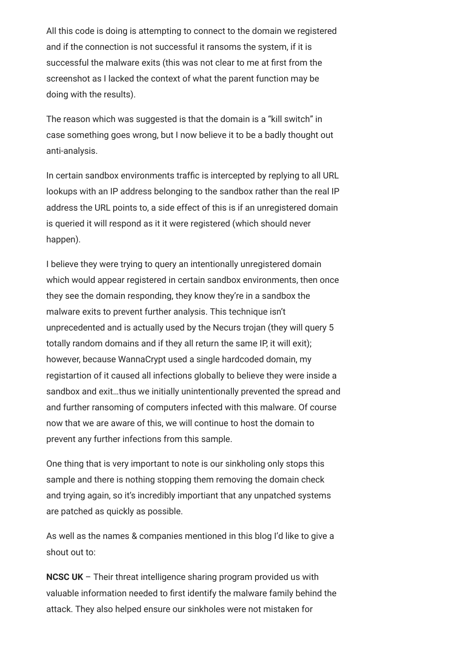All this code is doing is attempting to connect to the domain we registered and if the connection is not successful it ransoms the system, if it is successful the malware exits (this was not clear to me at first from the screenshot as I lacked the context of what the parent function may be doing with the results).

The reason which was suggested is that the domain is a "kill switch" in case something goes wrong, but I now believe it to be a badly thought out anti-analysis.

In certain sandbox environments traffic is intercepted by replying to all URL lookups with an IP address belonging to the sandbox rather than the real IP address the URL points to, a side effect of this is if an unregistered domain is queried it will respond as it it were registered (which should never happen).

I believe they were trying to query an intentionally unregistered domain which would appear registered in certain sandbox environments, then once they see the domain responding, they know they're in a sandbox the malware exits to prevent further analysis. This technique isn't unprecedented and is actually used by the Necurs trojan (they will query 5 totally random domains and if they all return the same IP, it will exit); however, because WannaCrypt used a single hardcoded domain, my registartion of it caused all infections globally to believe they were inside a sandbox and exit…thus we initially unintentionally prevented the spread and and further ransoming of computers infected with this malware. Of course now that we are aware of this, we will continue to host the domain to prevent any further infections from this sample.

One thing that is very important to note is our sinkholing only stops this sample and there is nothing stopping them removing the domain check and trying again, so it's incredibly importiant that any unpatched systems are patched as quickly as possible.

As well as the names & companies mentioned in this blog I'd like to give a shout out to:

**NCSC UK** – Their threat intelligence sharing program provided us with valuable information needed to first identify the malware family behind the attack. They also helped ensure our sinkholes were not mistaken for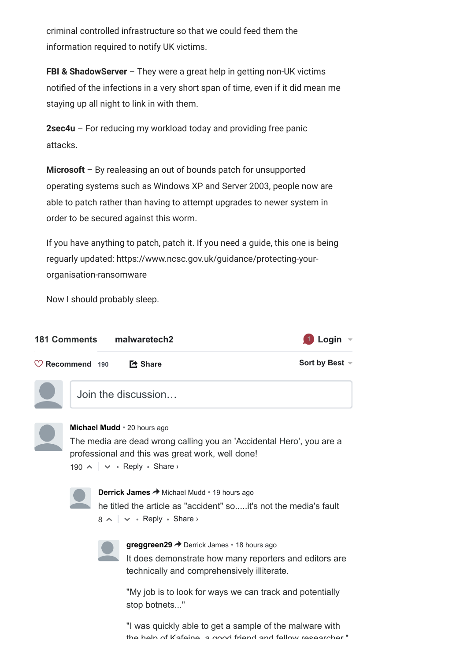criminal controlled infrastructure so that we could feed them the information required to notify UK victims.

**FBI & ShadowServer** – They were a great help in getting non-UK victims notified of the infections in a very short span of time, even if it did mean me staying up all night to link in with them.

**2sec4u** – For reducing my workload today and providing free panic attacks.

**Microsoft** – By realeasing an out of bounds patch for unsupported operating systems such as Windows XP and Server 2003, people now are able to patch rather than having to attempt upgrades to newer system in order to be secured against this worm.

If you have anything to patch, patch it. If you need a guide, this one is being reguarly updated: https://www.ncsc.gov.uk/guidance/protecting-yourorganisation-ransomware

Now I should probably sleep.

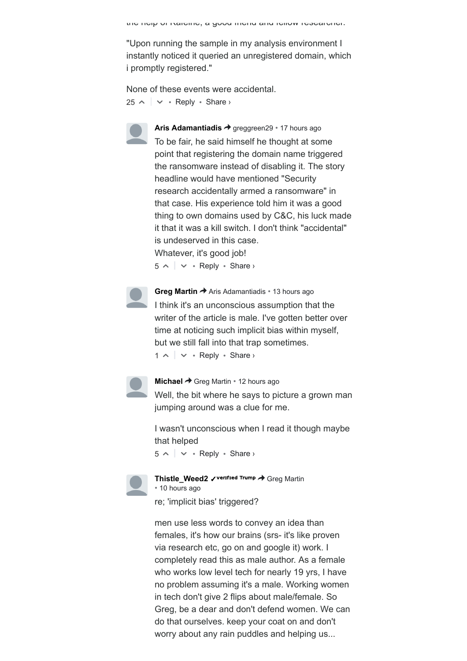the help of Kafeine, a good friend and fellow researcher."

"Upon running the sample in my analysis environment I instantly noticed it queried an unregistered domain, which i promptly registered."

 $25 \wedge \vert \vee \cdot$  Reply  $\cdot$  Share  $\vee$ None of these events were accidental.



[Aris Adamantiadis](https://disqus.com/by/arisadamantiadis/) → [greggreen29](https://www.malwaretech.com/2017/05/how-to-accidentally-stop-a-global-cyber-attacks.html#comment-3303812914) • [17 hours ago](https://www.malwaretech.com/2017/05/how-to-accidentally-stop-a-global-cyber-attacks.html#comment-3303896742) To be fair, he said himself he thought at some point that registering the domain name triggered the ransomware instead of disabling it. The story headline would have mentioned "Security research accidentally armed a ransomware" in that case. His experience told him it was a good thing to own domains used by C&C, his luck made it that it was a kill switch. I don't think "accidental" is undeserved in this case. Whatever, it's good job!

 $5 \wedge \sim \cdots$  Reply • Share ›



 $1 \wedge \sim \cdots$  Reply • Share › **[Greg Martin](https://disqus.com/by/disqus_9YjSXboCYu/) →** [Aris Adamantiadis](https://www.malwaretech.com/2017/05/how-to-accidentally-stop-a-global-cyber-attacks.html#comment-3303896742) • [13 hours ago](https://www.malwaretech.com/2017/05/how-to-accidentally-stop-a-global-cyber-attacks.html#comment-3304202835) I think it's an unconscious assumption that the writer of the article is male. I've gotten better over time at noticing such implicit bias within myself, but we still fall into that trap sometimes.



**[Michael](https://disqus.com/by/disqus_GnXNhVuaND/) →** [Greg Martin](https://www.malwaretech.com/2017/05/how-to-accidentally-stop-a-global-cyber-attacks.html#comment-3304202835) • [12 hours ago](https://www.malwaretech.com/2017/05/how-to-accidentally-stop-a-global-cyber-attacks.html#comment-3304281285) Well, the bit where he says to picture a grown man jumping around was a clue for me.

 $5 \wedge$   $\vee$  • Reply • Share › I wasn't unconscious when I read it though maybe that helped



[Thistle\\_Weed2](https://disqus.com/by/thistle_weed2/) **√** Ventred Trump → [Greg Martin](https://www.malwaretech.com/2017/05/how-to-accidentally-stop-a-global-cyber-attacks.html#comment-3304202835) • [10 hours ago](https://www.malwaretech.com/2017/05/how-to-accidentally-stop-a-global-cyber-attacks.html#comment-3304429944)

re; 'implicit bias' triggered?

men use less words to convey an idea than females, it's how our brains (srs- it's like proven via research etc, go on and google it) work. I completely read this as male author. As a female who works low level tech for nearly 19 yrs, I have no problem assuming it's a male. Working women in tech don't give 2 flips about male/female. So Greg, be a dear and don't defend women. We can do that ourselves. keep your coat on and don't worry about any rain puddles and helping us...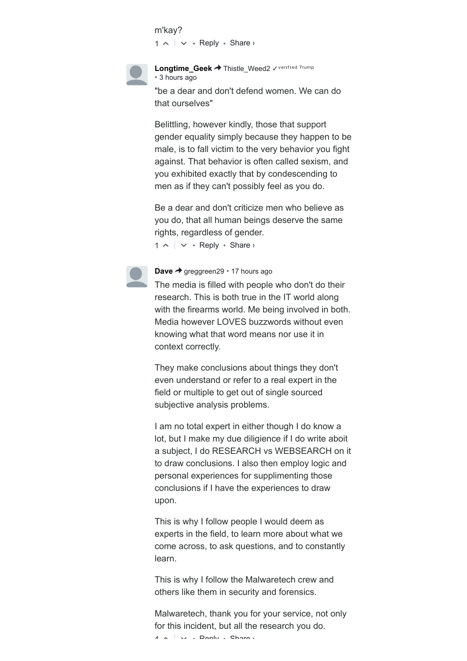```
1 \wedge \sim \cdots Reply • Share ›
m'kay?
```


[Longtime\\_Geek](https://disqus.com/by/disqus_dNZtsiekyV/) → [Thistle\\_Weed2](https://www.malwaretech.com/2017/05/how-to-accidentally-stop-a-global-cyber-attacks.html#comment-3304429944) < Verified Trump • [3 hours ago](https://www.malwaretech.com/2017/05/how-to-accidentally-stop-a-global-cyber-attacks.html#comment-3304740933) "be a dear and don't defend women. We can do

that ourselves"

Belittling, however kindly, those that support gender equality simply because they happen to be male, is to fall victim to the very behavior you fight against. That behavior is often called sexism, and you exhibited exactly that by condescending to men as if they can't possibly feel as you do.

 $1 \wedge \cdots \wedge \neg \neg \text{Reply } \cdot \text{Share } \neg$ Be a dear and don't criticize men who believe as you do, that all human beings deserve the same rights, regardless of gender.



The media is filled with people who don't do their research. This is both true in the IT world along with the firearms world. Me being involved in both. Media however LOVES buzzwords without even knowing what that word means nor use it in context correctly.

They make conclusions about things they don't even understand or refer to a real expert in the field or multiple to get out of single sourced subjective analysis problems.

I am no total expert in either though I do know a lot, but I make my due diligience if I do write aboit a subject, I do RESEARCH vs WEBSEARCH on it to draw conclusions. I also then employ logic and personal experiences for supplimenting those conclusions if I have the experiences to draw upon.

This is why I follow people I would deem as experts in the field, to learn more about what we come across, to ask questions, and to constantly learn.

This is why I follow the Malwaretech crew and others like them in security and forensics.

 $4 \times \sqrt{2}$  Dank  $\sqrt{2}$  Charax Malwaretech, thank you for your service, not only for this incident, but all the research you do.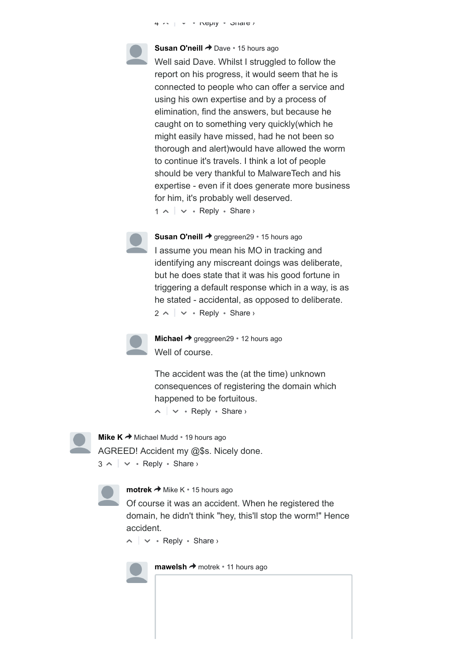4 △ ▽ • Reply • Share ›

**[Susan O'neill](https://disqus.com/by/disqus_f4fM1vlPcQ/) →** [Dave](https://www.malwaretech.com/2017/05/how-to-accidentally-stop-a-global-cyber-attacks.html#comment-3303840094) • [15 hours ago](https://www.malwaretech.com/2017/05/how-to-accidentally-stop-a-global-cyber-attacks.html#comment-3304013989) Well said Dave. Whilst I struggled to follow the report on his progress, it would seem that he is connected to people who can offer a service and using his own expertise and by a process of elimination, find the answers, but because he caught on to something very quickly(which he might easily have missed, had he not been so thorough and alert)would have allowed the worm to continue it's travels. I think a lot of people should be very thankful to MalwareTech and his expertise - even if it does generate more business for him, it's probably well deserved.

 $1 \wedge \cdots \wedge \neg \neg \text{Reply } \cdot \text{Share } \neg$ 



 $2 \wedge \sim \cdot$  Reply  $\cdot$  Share  $\circ$ **[Susan O'neill](https://disqus.com/by/disqus_f4fM1vlPcQ/) →** [greggreen29](https://www.malwaretech.com/2017/05/how-to-accidentally-stop-a-global-cyber-attacks.html#comment-3303812914) • [15 hours ago](https://www.malwaretech.com/2017/05/how-to-accidentally-stop-a-global-cyber-attacks.html#comment-3304004377) I assume you mean his MO in tracking and identifying any miscreant doings was deliberate, but he does state that it was his good fortune in triggering a default response which in a way, is as he stated - accidental, as opposed to deliberate.



**[Michael](https://disqus.com/by/disqus_GnXNhVuaND/)** → [greggreen29](https://www.malwaretech.com/2017/05/how-to-accidentally-stop-a-global-cyber-attacks.html#comment-3303812914) • [12 hours ago](https://www.malwaretech.com/2017/05/how-to-accidentally-stop-a-global-cyber-attacks.html#comment-3304278621) Well of course.

The accident was the (at the time) unknown consequences of registering the domain which happened to be fortuitous.

 $\sim$   $\sim$   $\cdot$  Reply  $\cdot$  Share  $\rightarrow$ 



 $3 \wedge \sim \cdots$  Reply • Share › **[Mike K](https://disqus.com/by/Spider_Nole/)**  $\rightarrow$  [Michael Mudd](https://www.malwaretech.com/2017/05/how-to-accidentally-stop-a-global-cyber-attacks.html#comment-3303677093)  $\cdot$  [19 hours ago](https://www.malwaretech.com/2017/05/how-to-accidentally-stop-a-global-cyber-attacks.html#comment-3303723499) AGREED! Accident my @\$s. Nicely done.



**[motrek](https://disqus.com/by/tom_kerrigan/) →** [Mike K](https://www.malwaretech.com/2017/05/how-to-accidentally-stop-a-global-cyber-attacks.html#comment-3303723499) • [15 hours ago](https://www.malwaretech.com/2017/05/how-to-accidentally-stop-a-global-cyber-attacks.html#comment-3304072395)

Of course it was an accident. When he registered the domain, he didn't think "hey, this'll stop the worm!" Hence accident.

 $\sim$   $\sim$   $\sim$  Reply  $\cdot$  Share  $\sim$ 

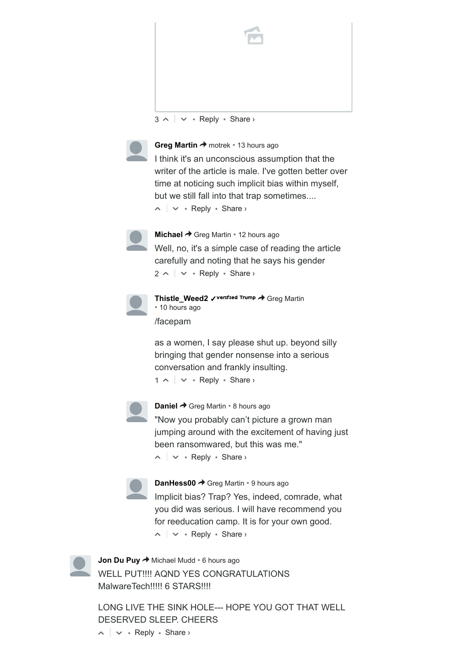

 $3 \wedge \sim \cdots$  Reply • Share ›



**[Greg Martin](https://disqus.com/by/disqus_9YjSXboCYu/) →** [motrek](https://www.malwaretech.com/2017/05/how-to-accidentally-stop-a-global-cyber-attacks.html#comment-3304072395) • [13 hours ago](https://www.malwaretech.com/2017/05/how-to-accidentally-stop-a-global-cyber-attacks.html#comment-3304203732)

 $\sim$   $\sim$   $\cdot$  Reply  $\cdot$  Share  $\rightarrow$ I think it's an unconscious assumption that the writer of the article is male. I've gotten better over time at noticing such implicit bias within myself, but we still fall into that trap sometimes....



 $2 \wedge \sim \cdot$  Reply  $\cdot$  Share  $\circ$ **[Michael](https://disqus.com/by/disqus_GnXNhVuaND/)** → [Greg Martin](https://www.malwaretech.com/2017/05/how-to-accidentally-stop-a-global-cyber-attacks.html#comment-3304203732) • [12 hours ago](https://www.malwaretech.com/2017/05/how-to-accidentally-stop-a-global-cyber-attacks.html#comment-3304285970) Well, no, it's a simple case of reading the article carefully and noting that he says his gender



[Thistle\\_Weed2](https://disqus.com/by/thistle_weed2/) **√** Verified Trump → [Greg Martin](https://www.malwaretech.com/2017/05/how-to-accidentally-stop-a-global-cyber-attacks.html#comment-3304203732) • [10 hours ago](https://www.malwaretech.com/2017/05/how-to-accidentally-stop-a-global-cyber-attacks.html#comment-3304431722) /facepam

 $1 \wedge \sim \cdots$  Reply • Share › as a women, I say please shut up. beyond silly bringing that gender nonsense into a serious conversation and frankly insulting.



**[Daniel](https://disqus.com/by/disqus_5grRk3O2vC/) → [Greg Martin](https://www.malwaretech.com/2017/05/how-to-accidentally-stop-a-global-cyber-attacks.html#comment-3304203732) • [8 hours ago](https://www.malwaretech.com/2017/05/how-to-accidentally-stop-a-global-cyber-attacks.html#comment-3304547705)** 

"Now you probably can't picture a grown man jumping around with the excitement of having just been ransomwared, but this was me."

 $\sim$   $\sim$   $\cdot$  Reply  $\cdot$  Share  $\rightarrow$ 



**[DanHess00](https://disqus.com/by/DanHess00/) → [Greg Martin](https://www.malwaretech.com/2017/05/how-to-accidentally-stop-a-global-cyber-attacks.html#comment-3304203732) • [9 hours ago](https://www.malwaretech.com/2017/05/how-to-accidentally-stop-a-global-cyber-attacks.html#comment-3304453536)** Implicit bias? Trap? Yes, indeed, comrade, what you did was serious. I will have recommend you for reeducation camp. It is for your own good.

 $\sim$   $\sim$   $\cdot$  Reply  $\cdot$  Share  $\rightarrow$ 



**[Jon Du Puy](https://disqus.com/by/jonjpdupuy/) →** [Michael Mudd](https://www.malwaretech.com/2017/05/how-to-accidentally-stop-a-global-cyber-attacks.html#comment-3303677093) • [6 hours ago](https://www.malwaretech.com/2017/05/how-to-accidentally-stop-a-global-cyber-attacks.html#comment-3304620598) WELL PUT!!!! AOND YES CONGRATULATIONS MalwareTech!!!!! 6 STARS!!!!

 $\sim$   $\sim$   $\sim$  Reply  $\cdot$  Share  $\sim$ LONG LIVE THE SINK HOLE--- HOPE YOU GOT THAT WELL DESERVED SLEEP. CHEERS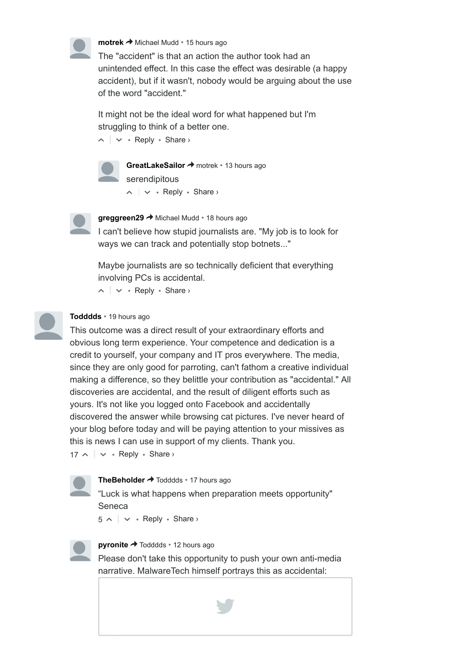

**[motrek](https://disqus.com/by/tom_kerrigan/) →** [Michael Mudd](https://www.malwaretech.com/2017/05/how-to-accidentally-stop-a-global-cyber-attacks.html#comment-3303677093) • [15 hours ago](https://www.malwaretech.com/2017/05/how-to-accidentally-stop-a-global-cyber-attacks.html#comment-3304068225)

The "accident" is that an action the author took had an unintended effect. In this case the effect was desirable (a happy accident), but if it wasn't, nobody would be arguing about the use of the word "accident."

It might not be the ideal word for what happened but I'm struggling to think of a better one.

 $\sim$   $\sim$   $\cdot$  Reply  $\cdot$  Share  $\rightarrow$ 



 $\sim$   $\sim$   $\cdot$  Reply  $\cdot$  Share  $\rightarrow$ [GreatLakeSailor](https://disqus.com/by/greatlakesailor/) → [motrek](https://www.malwaretech.com/2017/05/how-to-accidentally-stop-a-global-cyber-attacks.html#comment-3304068225) • [13 hours ago](https://www.malwaretech.com/2017/05/how-to-accidentally-stop-a-global-cyber-attacks.html#comment-3304219249) serendipitous



[greggreen29](https://disqus.com/by/greggreen29/) → [Michael Mudd](https://www.malwaretech.com/2017/05/how-to-accidentally-stop-a-global-cyber-attacks.html#comment-3303677093) • [18 hours ago](https://www.malwaretech.com/2017/05/how-to-accidentally-stop-a-global-cyber-attacks.html#comment-3303808986)

I can't believe how stupid journalists are. "My job is to look for ways we can track and potentially stop botnets..."

Maybe journalists are so technically deficient that everything involving PCs is accidental.

 $\sim$   $\sim$   $\cdot$  Reply  $\cdot$  Share  $\rightarrow$ 

### **[Todddds](https://disqus.com/by/todddds/)** • [19 hours ago](https://www.malwaretech.com/2017/05/how-to-accidentally-stop-a-global-cyber-attacks.html#comment-3303720991)

This outcome was a direct result of your extraordinary efforts and obvious long term experience. Your competence and dedication is a credit to yourself, your company and IT pros everywhere. The media, since they are only good for parroting, can't fathom a creative individual making a difference, so they belittle your contribution as "accidental." All discoveries are accidental, and the result of diligent efforts such as yours. It's not like you logged onto Facebook and accidentally discovered the answer while browsing cat pictures. I've never heard of your blog before today and will be paying attention to your missives as this is news I can use in support of my clients. Thank you.

 $17 \sim |\vee \cdot \text{Reply} \cdot \text{Share} \rangle$ 

**[TheBeholder](https://disqus.com/by/TheBeholder/) →** [Todddds](https://www.malwaretech.com/2017/05/how-to-accidentally-stop-a-global-cyber-attacks.html#comment-3303720991) • [17 hours ago](https://www.malwaretech.com/2017/05/how-to-accidentally-stop-a-global-cyber-attacks.html#comment-3303876453)

"Luck is what happens when preparation meets opportunity" Seneca

 $5 \wedge \sim \cdots$  Reply • Share ›



**[pyronite](https://disqus.com/by/pyronite/) →** [Todddds](https://www.malwaretech.com/2017/05/how-to-accidentally-stop-a-global-cyber-attacks.html#comment-3303720991) • [12 hours ago](https://www.malwaretech.com/2017/05/how-to-accidentally-stop-a-global-cyber-attacks.html#comment-3304240049)

Please don't take this opportunity to push your own anti-media narrative. MalwareTech himself portrays this as accidental:

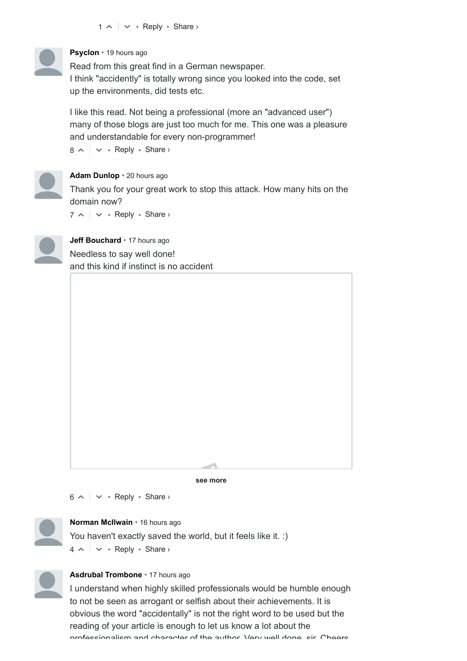

## **[Psyclon](https://disqus.com/by/Knusperflocke90/)** • [19 hours ago](https://www.malwaretech.com/2017/05/how-to-accidentally-stop-a-global-cyber-attacks.html#comment-3303729555)

Read from this great find in a German newspaper. I think "accidently" is totally wrong since you looked into the code, set up the environments, did tests etc.

I like this read. Not being a professional (more an "advanced user") many of those blogs are just too much for me. This one was a pleasure and understandable for every non-programmer!

 $8 \wedge \sim \cdots$  Reply • Share ›



## **[Adam Dunlop](https://disqus.com/by/adam_dunlop/)** • [20 hours ago](https://www.malwaretech.com/2017/05/how-to-accidentally-stop-a-global-cyber-attacks.html#comment-3303672370)

Thank you for your great work to stop this attack. How many hits on the domain now?

 $7 \wedge$   $\vee$  • Reply • Share ›



**[Jeff Bouchard](https://disqus.com/by/jeff_bouchard/)** • [17 hours ago](https://www.malwaretech.com/2017/05/how-to-accidentally-stop-a-global-cyber-attacks.html#comment-3303871404) Needless to say well done! and this kind if instinct is no accident

**see more** ⛺

 $6 \wedge \sim \cdots$  Reply • Share ›



## **[Norman McIlwain](https://disqus.com/by/normanmcilwain/)** • [16 hours ago](https://www.malwaretech.com/2017/05/how-to-accidentally-stop-a-global-cyber-attacks.html#comment-3303934775)

You haven't exactly saved the world, but it feels like it. :)

 $4 \wedge \sim \cdots$  Reply • Share ›



### **[Asdrubal Trombone](https://disqus.com/by/asdrubaltrombone/)** • [17 hours ago](https://www.malwaretech.com/2017/05/how-to-accidentally-stop-a-global-cyber-attacks.html#comment-3303908869)

I understand when highly skilled professionals would be humble enough to not be seen as arrogant or selfish about their achievements. It is obvious the word "accidentally" is not the right word to be used but the reading of your article is enough to let us know a lot about the professionalism and character of the author. Very well done, sir. Cheers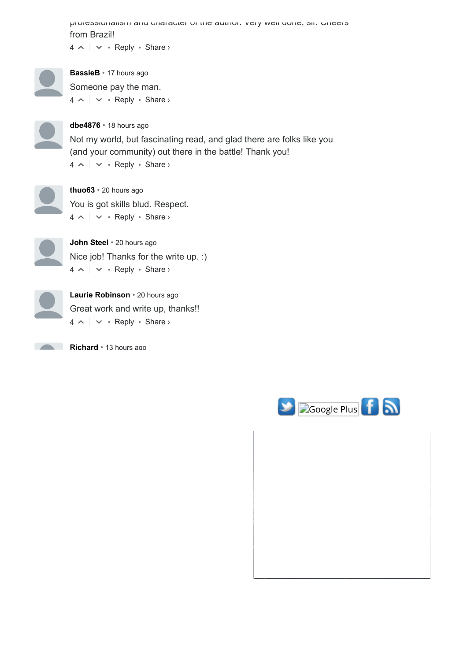$4 \wedge \sim \cdots$  Reply • Share › professionalism and character of the author. Very well done, sir. Cheers from Brazil!

 $4 \wedge \sim \cdots$  Reply • Share › **[BassieB](https://disqus.com/by/BassieB/)** • [17 hours ago](https://www.malwaretech.com/2017/05/how-to-accidentally-stop-a-global-cyber-attacks.html#comment-3303894654) Someone pay the man.

 $4 \wedge \sim \cdots$  Reply • Share › **[dbe4876](https://disqus.com/by/dbe4876/)** • [18 hours ago](https://www.malwaretech.com/2017/05/how-to-accidentally-stop-a-global-cyber-attacks.html#comment-3303833676) Not my world, but fascinating read, and glad there are folks like you (and your community) out there in the battle! Thank you!



 $4 \wedge \sim \cdots$  Reply • Share › **[thuo63](https://disqus.com/by/thuo63/)** • [20 hours ago](https://www.malwaretech.com/2017/05/how-to-accidentally-stop-a-global-cyber-attacks.html#comment-3303700357) You is got skills blud. Respect.



 $4 \wedge \sim \cdots$  Reply • Share › **[John Steel](https://disqus.com/by/disqus_vUmD2AUJhp/)** • [20 hours ago](https://www.malwaretech.com/2017/05/how-to-accidentally-stop-a-global-cyber-attacks.html#comment-3303681716) Nice job! Thanks for the write up. :)



 $4 \wedge \sim \cdots$  Reply • Share › **[Laurie Robinson](https://disqus.com/by/disqus_fUIigRiCHR/)** • [20 hours ago](https://www.malwaretech.com/2017/05/how-to-accidentally-stop-a-global-cyber-attacks.html#comment-3303675487) Great work and write up, thanks!!

**[Richard](https://disqus.com/by/disqus_Rg74ZruPEr/)** • [13 hours ago](https://www.malwaretech.com/2017/05/how-to-accidentally-stop-a-global-cyber-attacks.html#comment-3304198190)